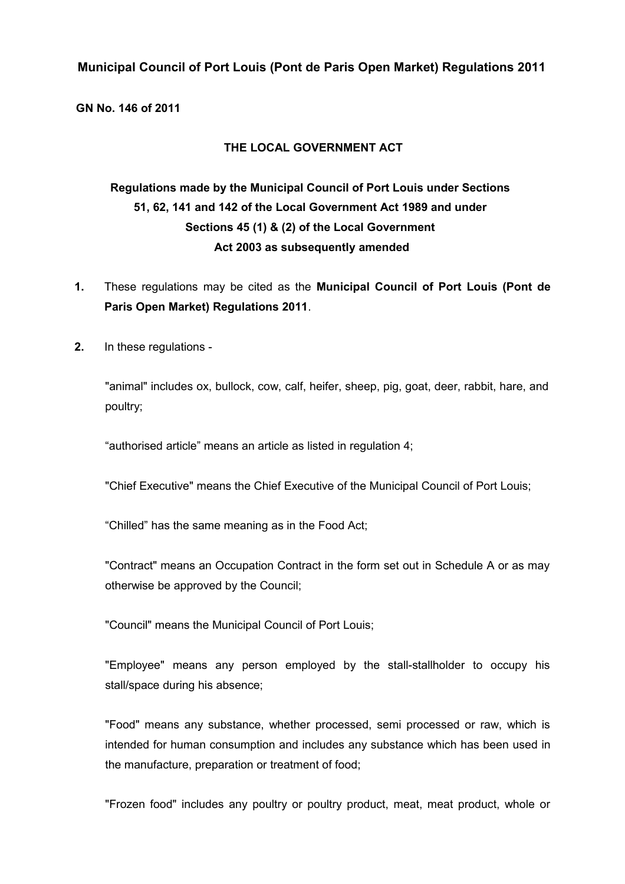# **Municipal Council of Port Louis (Pont de Paris Open Market) Regulations 2011**

**GN No. 146 of 2011**

#### **THE LOCAL GOVERNMENT ACT**

# **Regulations made by the Municipal Council of Port Louis under Sections 51, 62, 141 and 142 of the Local Government Act 1989 and under Sections 45 (1) & (2) of the Local Government Act 2003 as subsequently amended**

- **1.** These regulations may be cited as the **Municipal Council of Port Louis (Pont de Paris Open Market) Regulations 2011**.
- **2.** In these regulations -

"animal" includes ox, bullock, cow, calf, heifer, sheep, pig, goat, deer, rabbit, hare, and poultry;

"authorised article" means an article as listed in regulation 4;

"Chief Executive" means the Chief Executive of the Municipal Council of Port Louis;

"Chilled" has the same meaning as in the Food Act;

"Contract" means an Occupation Contract in the form set out in Schedule A or as may otherwise be approved by the Council;

"Council" means the Municipal Council of Port Louis;

"Employee" means any person employed by the stall-stallholder to occupy his stall/space during his absence;

"Food" means any substance, whether processed, semi processed or raw, which is intended for human consumption and includes any substance which has been used in the manufacture, preparation or treatment of food;

"Frozen food" includes any poultry or poultry product, meat, meat product, whole or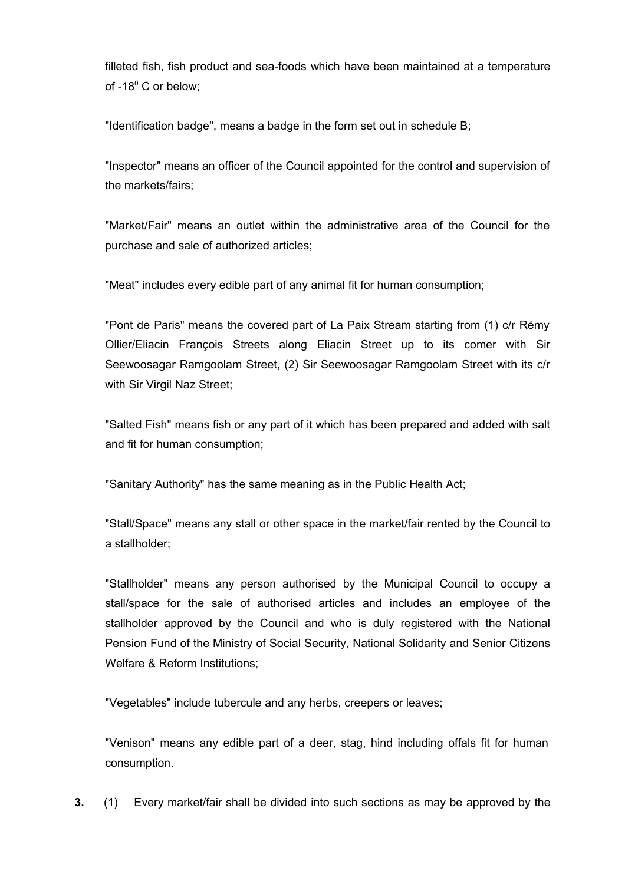filleted fish, fish product and sea-foods which have been maintained at a temperature of -18<sup>0</sup> C or below;

"Identification badge", means a badge in the form set out in schedule B;

"Inspector" means an officer of the Council appointed for the control and supervision of the markets/fairs;

"Market/Fair" means an outlet within the administrative area of the Council for the purchase and sale of authorized articles;

"Meat" includes every edible part of any animal fit for human consumption;

"Pont de Paris" means the covered part of La Paix Stream starting from (1) c/r Rémy Ollier/Eliacin François Streets along Eliacin Street up to its comer with Sir Seewoosagar Ramgoolam Street, (2) Sir Seewoosagar Ramgoolam Street with its c/r with Sir Virgil Naz Street;

"Salted Fish" means fish or any part of it which has been prepared and added with salt and fit for human consumption;

"Sanitary Authority" has the same meaning as in the Public Health Act;

"Stall/Space" means any stall or other space in the market/fair rented by the Council to a stallholder;

"Stallholder" means any person authorised by the Municipal Council to occupy a stall/space for the sale of authorised articles and includes an employee of the stallholder approved by the Council and who is duly registered with the National Pension Fund of the Ministry of Social Security, National Solidarity and Senior Citizens Welfare & Reform Institutions;

"Vegetables" include tubercule and any herbs, creepers or leaves;

"Venison" means any edible part of a deer, stag, hind including offals fit for human consumption.

**3.** (1) Every market/fair shall be divided into such sections as may be approved by the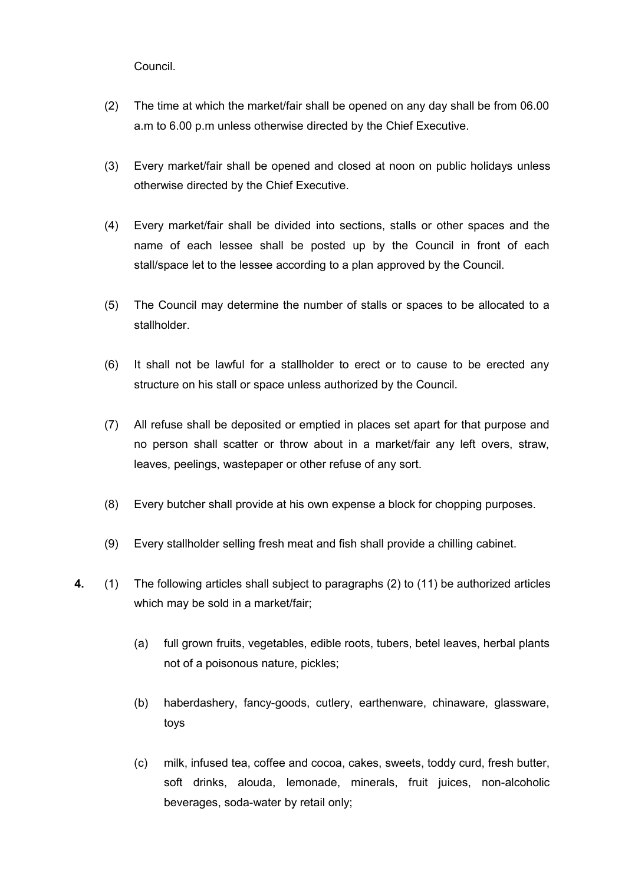Council.

- (2) The time at which the market/fair shall be opened on any day shall be from 06.00 a.m to 6.00 p.m unless otherwise directed by the Chief Executive.
- (3) Every market/fair shall be opened and closed at noon on public holidays unless otherwise directed by the Chief Executive.
- (4) Every market/fair shall be divided into sections, stalls or other spaces and the name of each lessee shall be posted up by the Council in front of each stall/space let to the lessee according to a plan approved by the Council.
- (5) The Council may determine the number of stalls or spaces to be allocated to a stallholder.
- (6) It shall not be lawful for a stallholder to erect or to cause to be erected any structure on his stall or space unless authorized by the Council.
- (7) All refuse shall be deposited or emptied in places set apart for that purpose and no person shall scatter or throw about in a market/fair any left overs, straw, leaves, peelings, wastepaper or other refuse of any sort.
- (8) Every butcher shall provide at his own expense a block for chopping purposes.
- (9) Every stallholder selling fresh meat and fish shall provide a chilling cabinet.
- **4.** (1) The following articles shall subject to paragraphs (2) to (11) be authorized articles which may be sold in a market/fair;
	- (a) full grown fruits, vegetables, edible roots, tubers, betel leaves, herbal plants not of a poisonous nature, pickles;
	- (b) haberdashery, fancy-goods, cutlery, earthenware, chinaware, glassware, toys
	- (c) milk, infused tea, coffee and cocoa, cakes, sweets, toddy curd, fresh butter, soft drinks, alouda, lemonade, minerals, fruit juices, non-alcoholic beverages, soda-water by retail only;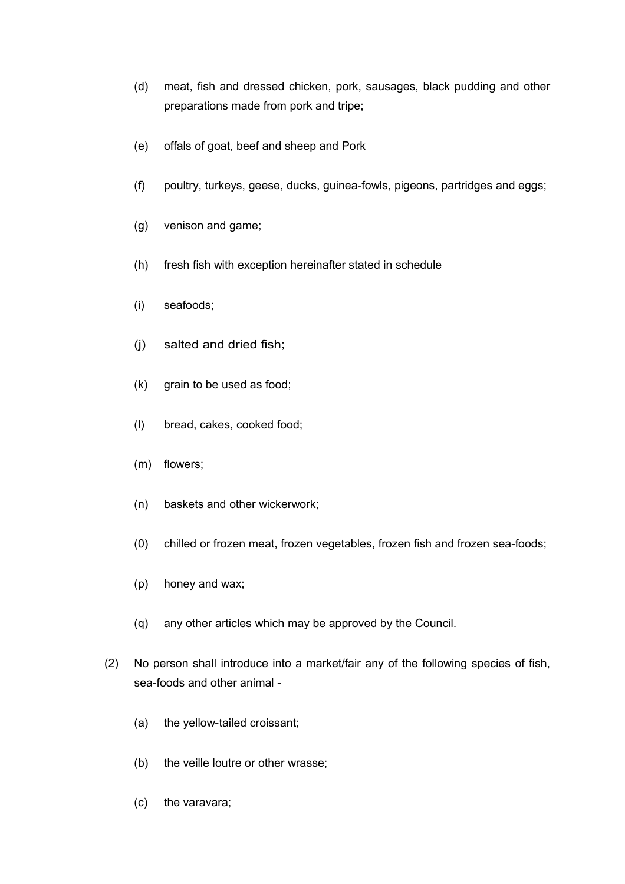- (d) meat, fish and dressed chicken, pork, sausages, black pudding and other preparations made from pork and tripe;
- (e) offals of goat, beef and sheep and Pork
- (f) poultry, turkeys, geese, ducks, guinea-fowls, pigeons, partridges and eggs;
- (g) venison and game;
- (h) fresh fish with exception hereinafter stated in schedule
- (i) seafoods;
- (j) salted and dried fish;
- (k) grain to be used as food;
- (l) bread, cakes, cooked food;
- (m) flowers;
- (n) baskets and other wickerwork;
- (0) chilled or frozen meat, frozen vegetables, frozen fish and frozen sea-foods;
- (p) honey and wax;
- (q) any other articles which may be approved by the Council.
- (2) No person shall introduce into a market/fair any of the following species of fish, sea-foods and other animal -
	- (a) the yellow-tailed croissant;
	- (b) the veille loutre or other wrasse;
	- (c) the varavara;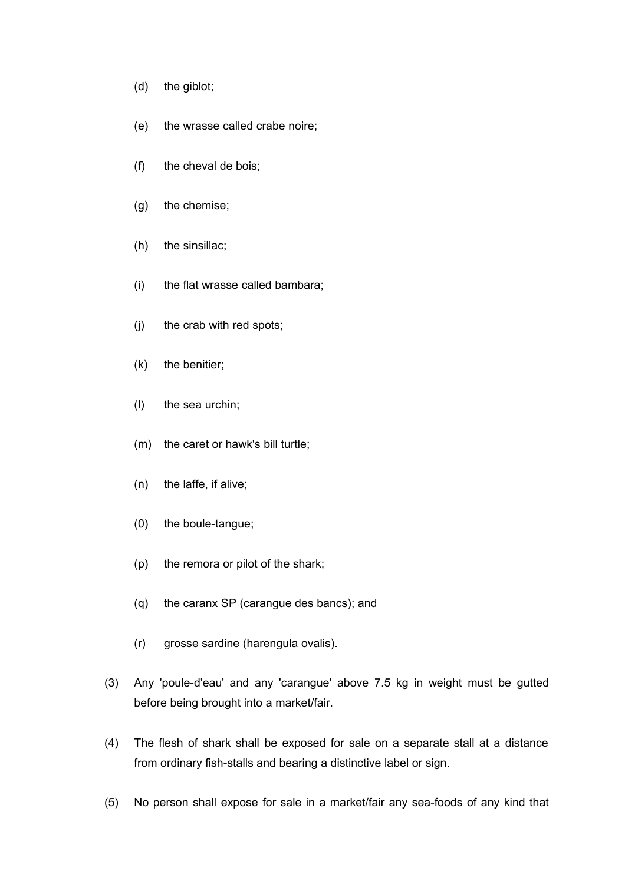- (d) the giblot;
- (e) the wrasse called crabe noire;
- (f) the cheval de bois;
- (g) the chemise;
- (h) the sinsillac;
- (i) the flat wrasse called bambara;
- (j) the crab with red spots;
- (k) the benitier;
- (l) the sea urchin;
- (m) the caret or hawk's bill turtle;
- (n) the laffe, if alive;
- (0) the boule-tangue;
- (p) the remora or pilot of the shark;
- (q) the caranx SP (carangue des bancs); and
- (r) grosse sardine (harengula ovalis).
- (3) Any 'poule-d'eau' and any 'carangue' above 7.5 kg in weight must be gutted before being brought into a market/fair.
- (4) The flesh of shark shall be exposed for sale on a separate stall at a distance from ordinary fish-stalls and bearing a distinctive label or sign.
- (5) No person shall expose for sale in a market/fair any sea-foods of any kind that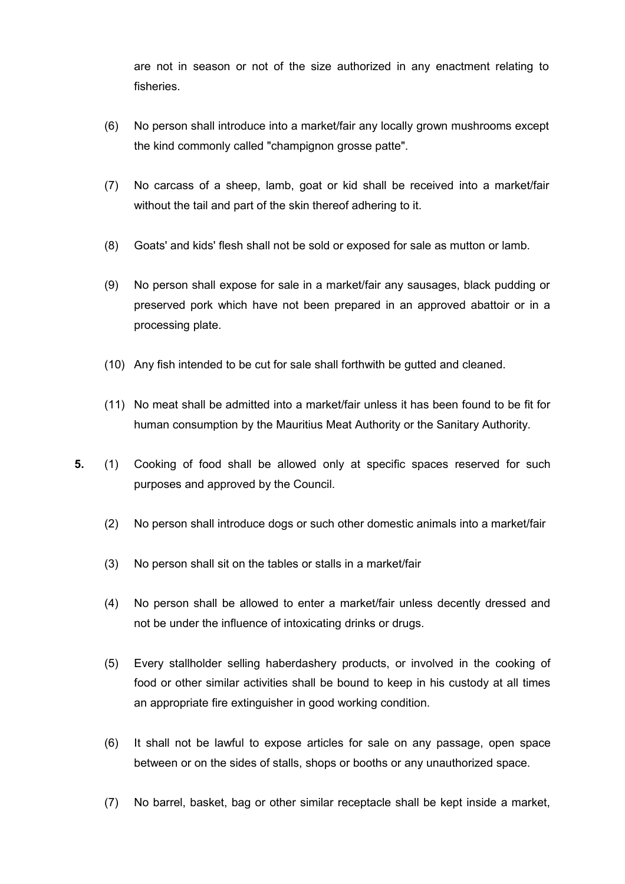are not in season or not of the size authorized in any enactment relating to fisheries.

- (6) No person shall introduce into a market/fair any locally grown mushrooms except the kind commonly called "champignon grosse patte".
- (7) No carcass of a sheep, lamb, goat or kid shall be received into a market/fair without the tail and part of the skin thereof adhering to it.
- (8) Goats' and kids' flesh shall not be sold or exposed for sale as mutton or lamb.
- (9) No person shall expose for sale in a market/fair any sausages, black pudding or preserved pork which have not been prepared in an approved abattoir or in a processing plate.
- (10) Any fish intended to be cut for sale shall forthwith be gutted and cleaned.
- (11) No meat shall be admitted into a market/fair unless it has been found to be fit for human consumption by the Mauritius Meat Authority or the Sanitary Authority.
- **5.** (1) Cooking of food shall be allowed only at specific spaces reserved for such purposes and approved by the Council.
	- (2) No person shall introduce dogs or such other domestic animals into a market/fair
	- (3) No person shall sit on the tables or stalls in a market/fair
	- (4) No person shall be allowed to enter a market/fair unless decently dressed and not be under the influence of intoxicating drinks or drugs.
	- (5) Every stallholder selling haberdashery products, or involved in the cooking of food or other similar activities shall be bound to keep in his custody at all times an appropriate fire extinguisher in good working condition.
	- (6) It shall not be lawful to expose articles for sale on any passage, open space between or on the sides of stalls, shops or booths or any unauthorized space.
	- (7) No barrel, basket, bag or other similar receptacle shall be kept inside a market,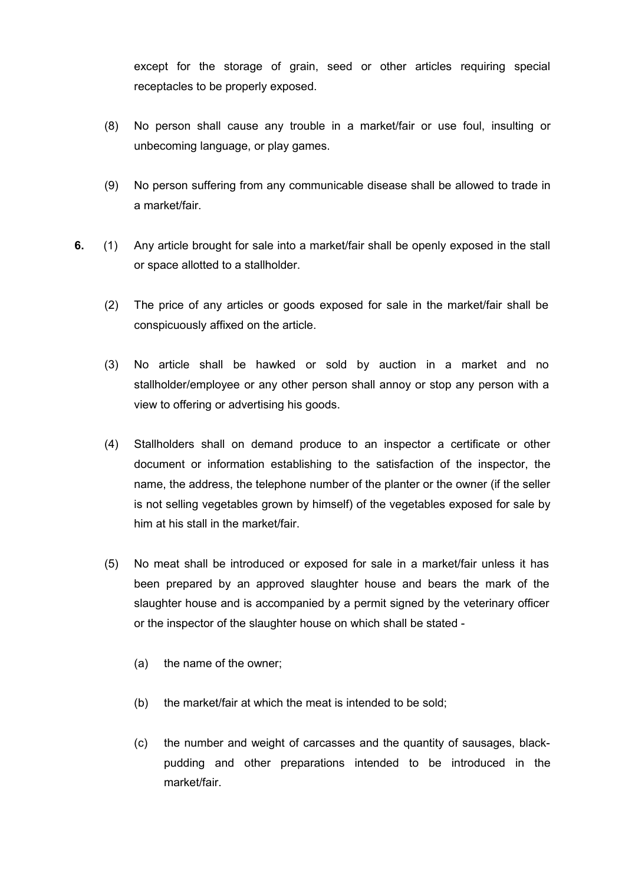except for the storage of grain, seed or other articles requiring special receptacles to be properly exposed.

- (8) No person shall cause any trouble in a market/fair or use foul, insulting or unbecoming language, or play games.
- (9) No person suffering from any communicable disease shall be allowed to trade in a market/fair.
- **6.** (1) Any article brought for sale into a market/fair shall be openly exposed in the stall or space allotted to a stallholder.
	- (2) The price of any articles or goods exposed for sale in the market/fair shall be conspicuously affixed on the article.
	- (3) No article shall be hawked or sold by auction in a market and no stallholder/employee or any other person shall annoy or stop any person with a view to offering or advertising his goods.
	- (4) Stallholders shall on demand produce to an inspector a certificate or other document or information establishing to the satisfaction of the inspector, the name, the address, the telephone number of the planter or the owner (if the seller is not selling vegetables grown by himself) of the vegetables exposed for sale by him at his stall in the market/fair.
	- (5) No meat shall be introduced or exposed for sale in a market/fair unless it has been prepared by an approved slaughter house and bears the mark of the slaughter house and is accompanied by a permit signed by the veterinary officer or the inspector of the slaughter house on which shall be stated -
		- (a) the name of the owner;
		- (b) the market/fair at which the meat is intended to be sold;
		- (c) the number and weight of carcasses and the quantity of sausages, blackpudding and other preparations intended to be introduced in the market/fair.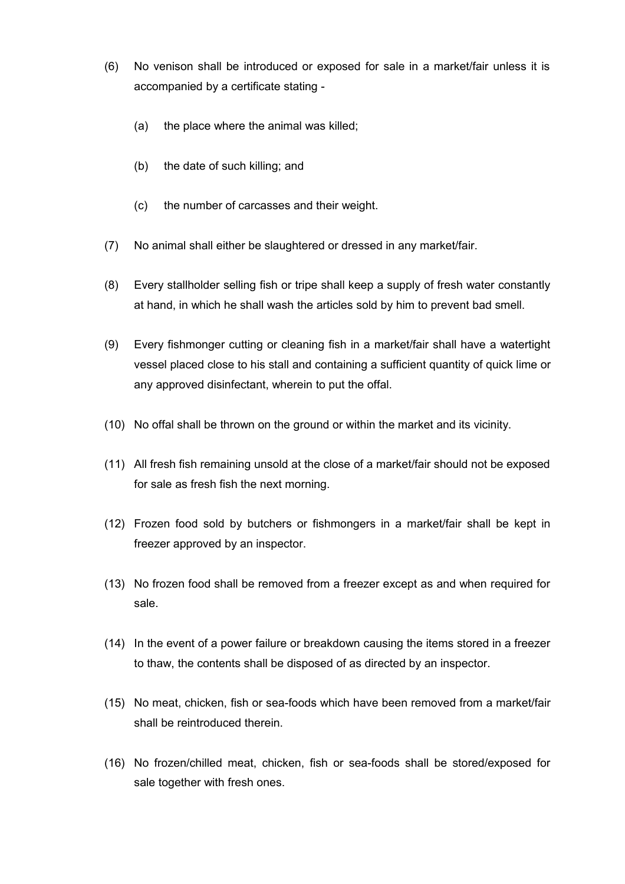- (6) No venison shall be introduced or exposed for sale in a market/fair unless it is accompanied by a certificate stating -
	- (a) the place where the animal was killed;
	- (b) the date of such killing; and
	- (c) the number of carcasses and their weight.
- (7) No animal shall either be slaughtered or dressed in any market/fair.
- (8) Every stallholder selling fish or tripe shall keep a supply of fresh water constantly at hand, in which he shall wash the articles sold by him to prevent bad smell.
- (9) Every fishmonger cutting or cleaning fish in a market/fair shall have a watertight vessel placed close to his stall and containing a sufficient quantity of quick lime or any approved disinfectant, wherein to put the offal.
- (10) No offal shall be thrown on the ground or within the market and its vicinity.
- (11) All fresh fish remaining unsold at the close of a market/fair should not be exposed for sale as fresh fish the next morning.
- (12) Frozen food sold by butchers or fishmongers in a market/fair shall be kept in freezer approved by an inspector.
- (13) No frozen food shall be removed from a freezer except as and when required for sale.
- (14) In the event of a power failure or breakdown causing the items stored in a freezer to thaw, the contents shall be disposed of as directed by an inspector.
- (15) No meat, chicken, fish or sea-foods which have been removed from a market/fair shall be reintroduced therein.
- (16) No frozen/chilled meat, chicken, fish or sea-foods shall be stored/exposed for sale together with fresh ones.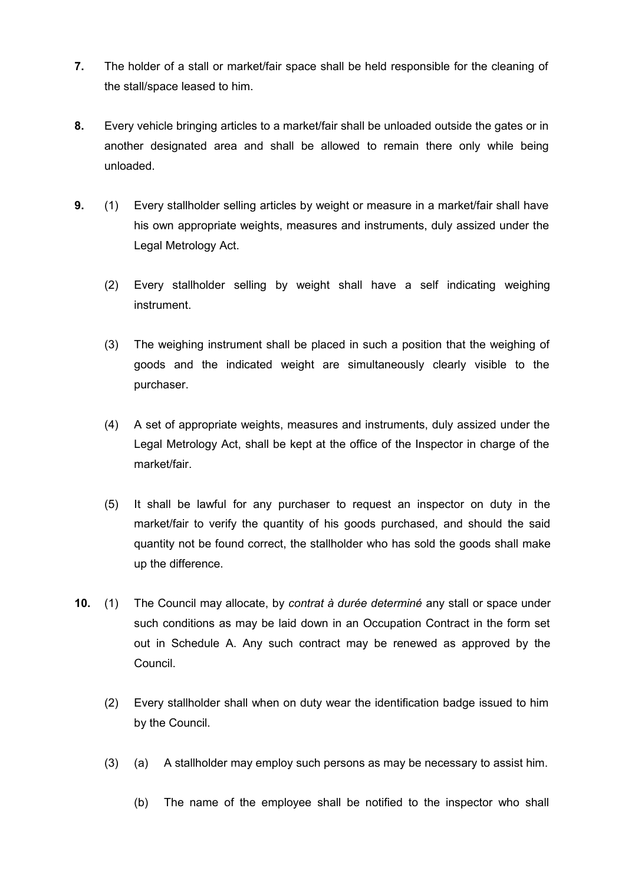- **7.** The holder of a stall or market/fair space shall be held responsible for the cleaning of the stall/space leased to him.
- **8.** Every vehicle bringing articles to a market/fair shall be unloaded outside the gates or in another designated area and shall be allowed to remain there only while being unloaded.
- **9.** (1) Every stallholder selling articles by weight or measure in a market/fair shall have his own appropriate weights, measures and instruments, duly assized under the Legal Metrology Act.
	- (2) Every stallholder selling by weight shall have a self indicating weighing instrument.
	- (3) The weighing instrument shall be placed in such a position that the weighing of goods and the indicated weight are simultaneously clearly visible to the purchaser.
	- (4) A set of appropriate weights, measures and instruments, duly assized under the Legal Metrology Act, shall be kept at the office of the Inspector in charge of the market/fair.
	- (5) It shall be lawful for any purchaser to request an inspector on duty in the market/fair to verify the quantity of his goods purchased, and should the said quantity not be found correct, the stallholder who has sold the goods shall make up the difference.
- **10.** (1) The Council may allocate, by *contrat à durée determiné* any stall or space under such conditions as may be laid down in an Occupation Contract in the form set out in Schedule A. Any such contract may be renewed as approved by the Council.
	- (2) Every stallholder shall when on duty wear the identification badge issued to him by the Council.
	- (3) (a) A stallholder may employ such persons as may be necessary to assist him.
		- (b) The name of the employee shall be notified to the inspector who shall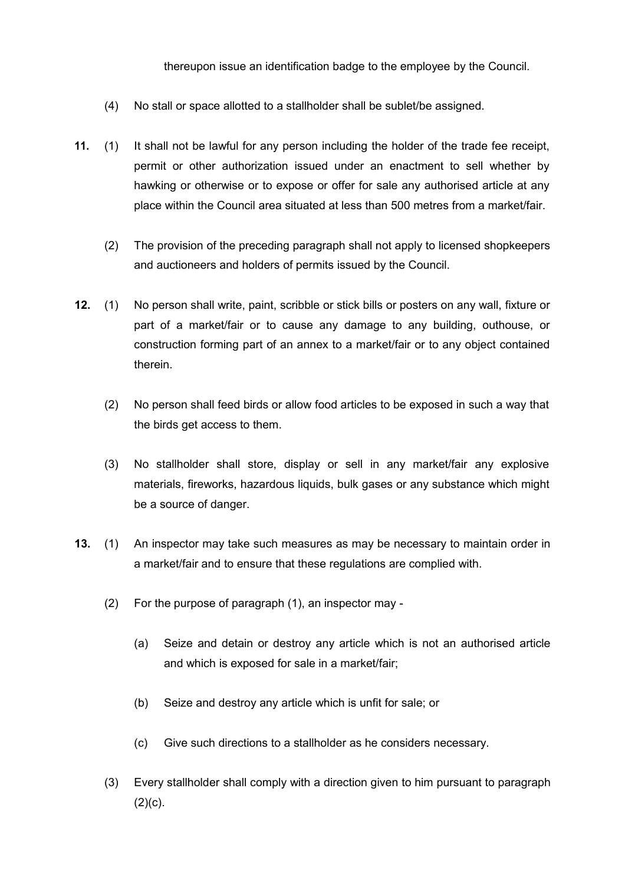thereupon issue an identification badge to the employee by the Council.

- (4) No stall or space allotted to a stallholder shall be sublet/be assigned.
- **11.** (1) It shall not be lawful for any person including the holder of the trade fee receipt, permit or other authorization issued under an enactment to sell whether by hawking or otherwise or to expose or offer for sale any authorised article at any place within the Council area situated at less than 500 metres from a market/fair.
	- (2) The provision of the preceding paragraph shall not apply to licensed shopkeepers and auctioneers and holders of permits issued by the Council.
- **12.** (1) No person shall write, paint, scribble or stick bills or posters on any wall, fixture or part of a market/fair or to cause any damage to any building, outhouse, or construction forming part of an annex to a market/fair or to any object contained therein.
	- (2) No person shall feed birds or allow food articles to be exposed in such a way that the birds get access to them.
	- (3) No stallholder shall store, display or sell in any market/fair any explosive materials, fireworks, hazardous liquids, bulk gases or any substance which might be a source of danger.
- **13.** (1) An inspector may take such measures as may be necessary to maintain order in a market/fair and to ensure that these regulations are complied with.
	- (2) For the purpose of paragraph (1), an inspector may
		- (a) Seize and detain or destroy any article which is not an authorised article and which is exposed for sale in a market/fair;
		- (b) Seize and destroy any article which is unfit for sale; or
		- (c) Give such directions to a stallholder as he considers necessary.
	- (3) Every stallholder shall comply with a direction given to him pursuant to paragraph  $(2)(c)$ .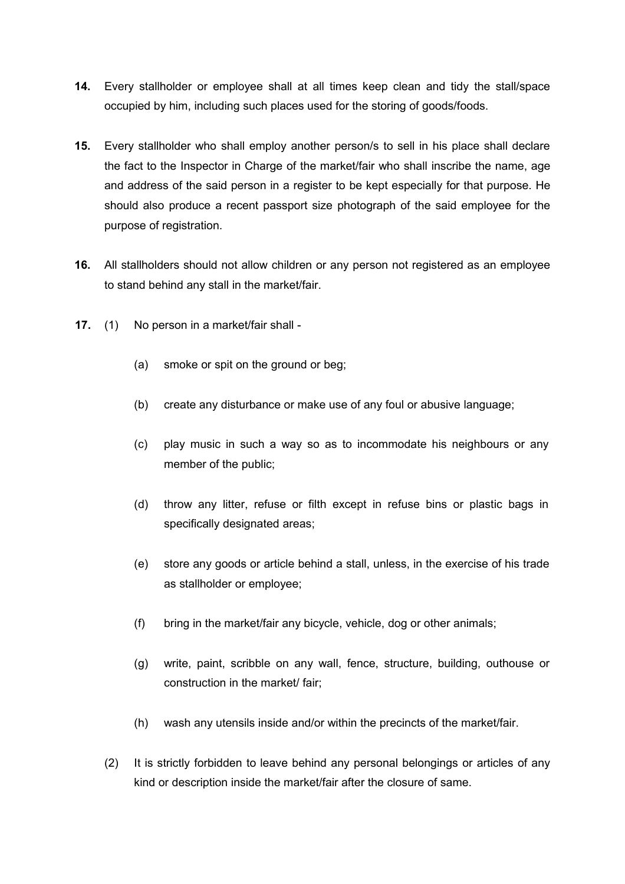- **14.** Every stallholder or employee shall at all times keep clean and tidy the stall/space occupied by him, including such places used for the storing of goods/foods.
- **15.** Every stallholder who shall employ another person/s to sell in his place shall declare the fact to the Inspector in Charge of the market/fair who shall inscribe the name, age and address of the said person in a register to be kept especially for that purpose. He should also produce a recent passport size photograph of the said employee for the purpose of registration.
- **16.** All stallholders should not allow children or any person not registered as an employee to stand behind any stall in the market/fair.
- **17.** (1) No person in a market/fair shall
	- (a) smoke or spit on the ground or beg;
	- (b) create any disturbance or make use of any foul or abusive language;
	- (c) play music in such a way so as to incommodate his neighbours or any member of the public;
	- (d) throw any litter, refuse or filth except in refuse bins or plastic bags in specifically designated areas;
	- (e) store any goods or article behind a stall, unless, in the exercise of his trade as stallholder or employee;
	- (f) bring in the market/fair any bicycle, vehicle, dog or other animals;
	- (g) write, paint, scribble on any wall, fence, structure, building, outhouse or construction in the market/ fair;
	- (h) wash any utensils inside and/or within the precincts of the market/fair.
	- (2) It is strictly forbidden to leave behind any personal belongings or articles of any kind or description inside the market/fair after the closure of same.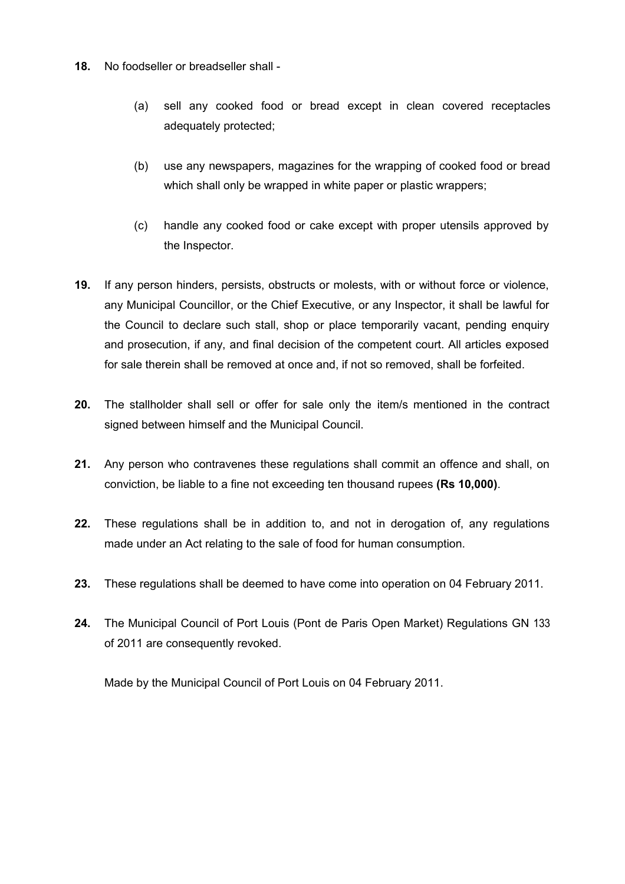- **18.** No foodseller or breadseller shall
	- (a) sell any cooked food or bread except in clean covered receptacles adequately protected;
	- (b) use any newspapers, magazines for the wrapping of cooked food or bread which shall only be wrapped in white paper or plastic wrappers;
	- (c) handle any cooked food or cake except with proper utensils approved by the Inspector.
- **19.** If any person hinders, persists, obstructs or molests, with or without force or violence, any Municipal Councillor, or the Chief Executive, or any Inspector, it shall be lawful for the Council to declare such stall, shop or place temporarily vacant, pending enquiry and prosecution, if any, and final decision of the competent court. All articles exposed for sale therein shall be removed at once and, if not so removed, shall be forfeited.
- **20.** The stallholder shall sell or offer for sale only the item/s mentioned in the contract signed between himself and the Municipal Council.
- **21.** Any person who contravenes these regulations shall commit an offence and shall, on conviction, be liable to a fine not exceeding ten thousand rupees **(Rs 10,000)**.
- **22.** These regulations shall be in addition to, and not in derogation of, any regulations made under an Act relating to the sale of food for human consumption.
- **23.** These regulations shall be deemed to have come into operation on 04 February 2011.
- **24.** The Municipal Council of Port Louis (Pont de Paris Open Market) Regulations GN 133 of 2011 are consequently revoked.

Made by the Municipal Council of Port Louis on 04 February 2011.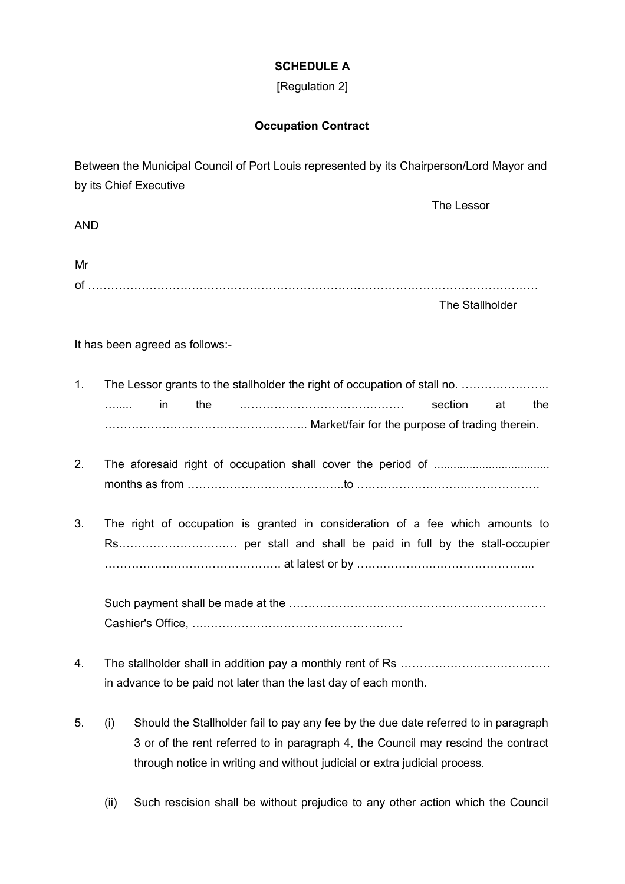### **SCHEDULE A**

## [Regulation 2]

### **Occupation Contract**

Between the Municipal Council of Port Louis represented by its Chairperson/Lord Mayor and by its Chief Executive

AND

| Mr |  |
|----|--|
| C. |  |

The Stallholder

The Lessor

It has been agreed as follows:-

- 1. The Lessor grants to the stallholder the right of occupation of stall no. ....................... …..... in the …………………………….……… section at the …………………………………………….. Market/fair for the purpose of trading therein.
- 2. The aforesaid right of occupation shall cover the period of .................................... months as from …………………………………..to ………………………..……………….
- 3. The right of occupation is granted in consideration of a fee which amounts to Rs……………………….… per stall and shall be paid in full by the stall-occupier ………………………………………. at latest or by …….………….……………………...

Such payment shall be made at the ………………….……………………………………… Cashier's Office, ….……………………………………………

- 4. The stallholder shall in addition pay a monthly rent of Rs ………………………………… in advance to be paid not later than the last day of each month.
- 5. (i) Should the Stallholder fail to pay any fee by the due date referred to in paragraph 3 or of the rent referred to in paragraph 4, the Council may rescind the contract through notice in writing and without judicial or extra judicial process.
	- (ii) Such rescision shall be without prejudice to any other action which the Council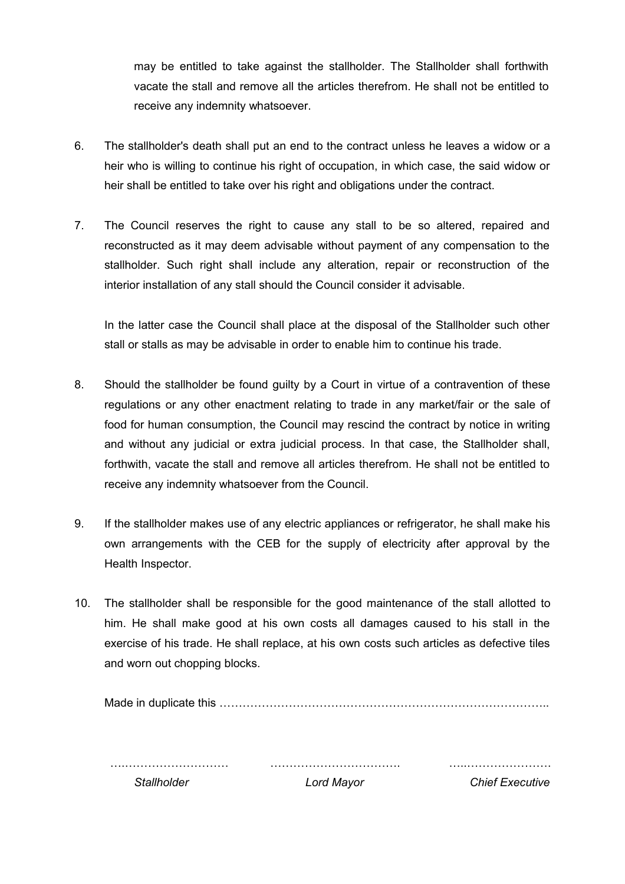may be entitled to take against the stallholder. The Stallholder shall forthwith vacate the stall and remove all the articles therefrom. He shall not be entitled to receive any indemnity whatsoever.

- 6. The stallholder's death shall put an end to the contract unless he leaves a widow or a heir who is willing to continue his right of occupation, in which case, the said widow or heir shall be entitled to take over his right and obligations under the contract.
- 7. The Council reserves the right to cause any stall to be so altered, repaired and reconstructed as it may deem advisable without payment of any compensation to the stallholder. Such right shall include any alteration, repair or reconstruction of the interior installation of any stall should the Council consider it advisable.

In the latter case the Council shall place at the disposal of the Stallholder such other stall or stalls as may be advisable in order to enable him to continue his trade.

- 8. Should the stallholder be found guilty by a Court in virtue of a contravention of these regulations or any other enactment relating to trade in any market/fair or the sale of food for human consumption, the Council may rescind the contract by notice in writing and without any judicial or extra judicial process. In that case, the Stallholder shall, forthwith, vacate the stall and remove all articles therefrom. He shall not be entitled to receive any indemnity whatsoever from the Council.
- 9. If the stallholder makes use of any electric appliances or refrigerator, he shall make his own arrangements with the CEB for the supply of electricity after approval by the Health Inspector.
- 10. The stallholder shall be responsible for the good maintenance of the stall allotted to him. He shall make good at his own costs all damages caused to his stall in the exercise of his trade. He shall replace, at his own costs such articles as defective tiles and worn out chopping blocks.

Made in duplicate this …………………………………………………………………………..

….……………………… *Stallholder* ……………………………. *Lord Mayor* …..…………………. *Chief Executive*